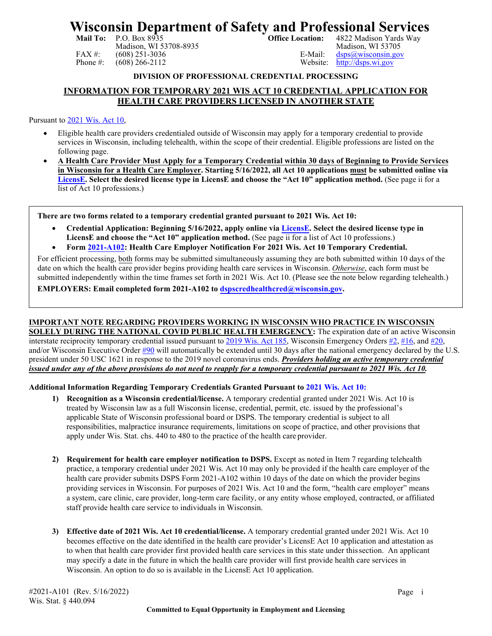# **Wisconsin Department of Safety and Professional Services**<br>Mail To: P.O. Box 8935<br>Office Location: 4822 Madison Yards Way

Madison, WI 53708-8935<br>(608) 251-3036 E-Mail: FAX #: (608) 251-3036<br>
Phone #: (608) 266-2112<br>
Website: http://dsps.wi.gov Phone #: (608) 266-2112 Website: [http://dsps.wi.gov](http://dsps.wi.gov/)

4822 Madison Yards Way<br>Madison, WI 53705

#### **DIVISION OF PROFESSIONAL CREDENTIAL PROCESSING**

### **INFORMATION FOR TEMPORARY 2021 WIS ACT 10 CREDENTIAL APPLICATION FOR HEALTH CARE PROVIDERS LICENSED IN ANOTHER STATE**

Pursuant to [2021 Wis. Act 10,](https://docs.legis.wisconsin.gov/2021/related/acts/10) 

- Eligible health care providers credentialed outside of Wisconsin may apply for a temporary credential to provide services in Wisconsin, including telehealth, within the scope of their credential. Eligible professions are listed on the following page.
- **A Health Care Provider Must Apply for a Temporary Credential within 30 days of Beginning to Provide Services in Wisconsin for a Health Care Employer. Starting 5/16/2022, all Act 10 applications must be submitted online via [LicensE.](license.wi.gov) Select the desired license type in LicensE and choose the "Act 10" application method.** (See page ii for a list of Act 10 professions.)

**There are two forms related to a temporary credential granted pursuant to 2021 Wis. Act 10:**

- **Credential Application: Beginning 5/16/2022, apply online via [LicensE.](license.wi.gov) Select the desired license type in LicensE and choose the "Act 10" application method.** (See page ii for a list of Act 10 professions.)
- **Form [2021-A102](https://dsps.wi.gov/Documents/fm2021-A102.pdf): Health Care Employer Notification For 2021 Wis. Act 10 Temporary Credential.**

For efficient processing, both forms may be submitted simultaneously assuming they are both submitted within 10 days of the date on which the health care provider begins providing health care services in Wisconsin. *Otherwise*, each form must be submitted independently within the time frames set forth in 2021 Wis. Act 10. (Please see the note below regarding telehealth.)

**EMPLOYERS: Email completed form 2021-A102 to [dspscredhealthcred@wisconsin.gov.](mailto:dspscredhealthcred@wisconsin.gov)**

### **IMPORTANT NOTE REGARDING PROVIDERS WORKING IN WISCONSIN WHO PRACTICE IN WISCONSIN**

**SOLELY DURING THE NATIONAL COVID PUBLIC HEALTH EMERGENCY:** The expiration date of an active Wisconsin interstate reciprocity temporary credential issued pursuant to [2019](https://docs.legis.wisconsin.gov/2019/related/acts/185) [Wis. Act 185,](https://docs.legis.wisconsin.gov/2019/related/acts/185) Wisconsin Emergency Orders [#2,](https://dsps.wi.gov/Documents/EO2AidHealthcareFacilitiestoProvideTreatment.pdf) [#16,](https://evers.wi.gov/Documents/COVID19/EMO16-DSPSCredentialingHealthCareProviders.pdf) and [#20,](https://evers.wi.gov/Documents/COVID19/EMO20-ModificationOfEmO16.pdf) and/or Wisconsin Executive Order [#90](https://docs.legis.wisconsin.gov/code/executive_orders/2019_tony_evers/2020-90.pdf) will automatically be extended until 30 days after the national emergency declared by the U.S. president under 50 USC 1621 in response to the 2019 novel coronavirus ends. *Providers holding an active temporary credential issued under any of the above provisions do not need to reapply for a temporary credential pursuant to 2021 Wis. Act 10.*

#### **Additional Information Regarding Temporary Credentials Granted Pursuant to [2021 Wis. Act 10:](https://docs.legis.wisconsin.gov/2021/related/acts/10)**

- **1) Recognition as a Wisconsin credential/license.** A temporary credential granted under 2021 Wis. Act 10 is treated by Wisconsin law as a full Wisconsin license, credential, permit, etc. issued by the professional's applicable State of Wisconsin professional board or DSPS. The temporary credential is subject to all responsibilities, malpractice insurance requirements, limitations on scope of practice, and other provisions that apply under Wis. Stat. chs. 440 to 480 to the practice of the health care provider.
- **2) Requirement for health care employer notification to DSPS.** Except as noted in Item 7 regarding telehealth practice, a temporary credential under 2021 Wis. Act 10 may only be provided if the health care employer of the health care provider submits DSPS Form 2021-A102 within 10 days of the date on which the provider begins providing services in Wisconsin. For purposes of 2021 Wis. Act 10 and the form, "health care employer" means a system, care clinic, care provider, long-term care facility, or any entity whose employed, contracted, or affiliated staff provide health care service to individuals in Wisconsin.
- **3) Effective date of 2021 Wis. Act 10 credential/license.** A temporary credential granted under 2021 Wis. Act 10 becomes effective on the date identified in the health care provider's LicensE Act 10 application and attestation as to when that health care provider first provided health care services in this state under thissection. An applicant may specify a date in the future in which the health care provider will first provide health care services in Wisconsin. An option to do so is available in the LicensE Act 10 application.